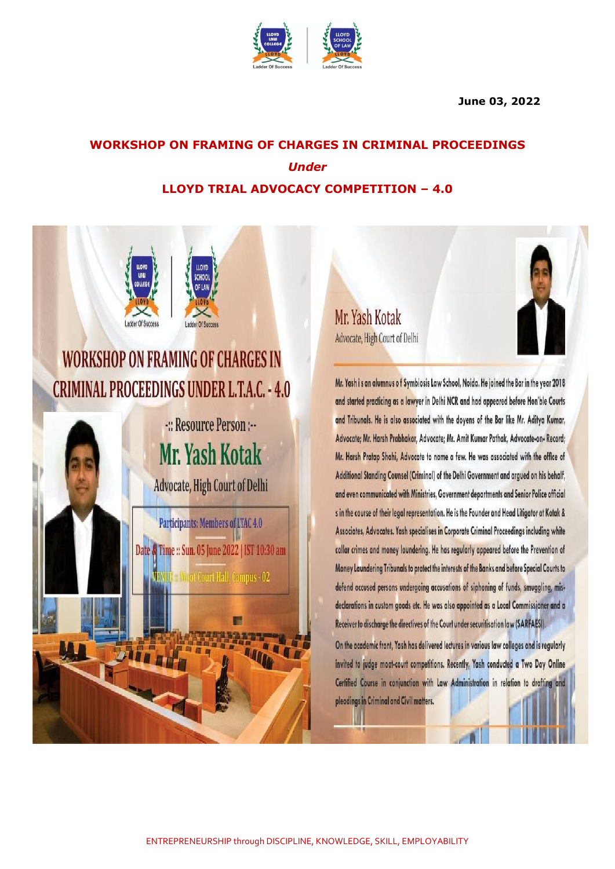

#### **June 03, 2022**

# **WORKSHOP ON FRAMING OF CHARGES IN CRIMINAL PROCEEDINGS** *Under* **LLOYD TRIAL ADVOCACY COMPETITION – 4.0**



Mr. Yash Kotak Advocate, High Court of Delhi

Mr. Yash is an alumnus of Symbiosis Law School, Noida. He joined the Bar in the year 2018 and started practicing as a lawyer in Delhi NCR and had appeared before Hon'ble Courts and Tribunals. He is also associated with the doyens of the Bar like Mr. Aditya Kumar, Advocate; Mr. Harsh Prabhakar, Advocate; Mr. Amit Kumar Pathak, Advocate-on-Record; Mr. Harsh Pratap Shahi, Advocate to name a few. He was associated with the office of Additional Standing Counsel (Criminal) of the Delhi Government and argued on his behalf, and even communicated with Ministries, Government departments and Senior Police official s in the course of their legal representation. He is the Founder and Head Litigator at Kotak & Associates, Advocates. Yash specialises in Corporate Criminal Proceedings including white collar crimes and money laundering. He has regularly appeared before the Prevention of Money Laundering Tribunals to protect the interests of the Banks and before Special Courts to defend accused persons undergoing accusations of siphoning of funds, smuggling, misdeclarations in custom goods etc. He was also appointed as a Local Commissioner and a Receiver to discharge the directives of the Court under securitisation law (SARFAESI).

On the academic front, Yash has delivered lectures in various law colleges and is regularly invited to judge moot-court competitions. Recently, Yash conducted a Two Day Online Certified Course in conjunction with Law Administration in relation to drafting and pleadings in Criminal and Civil matters.

W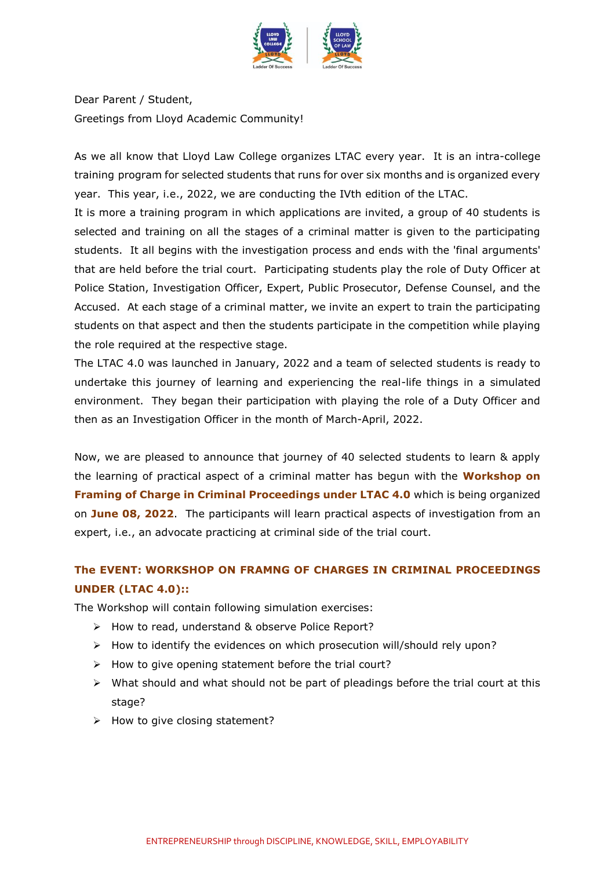

Dear Parent / Student, Greetings from Lloyd Academic Community!

As we all know that Lloyd Law College organizes LTAC every year. It is an intra-college training program for selected students that runs for over six months and is organized every year. This year, i.e., 2022, we are conducting the IVth edition of the LTAC.

It is more a training program in which applications are invited, a group of 40 students is selected and training on all the stages of a criminal matter is given to the participating students. It all begins with the investigation process and ends with the 'final arguments' that are held before the trial court. Participating students play the role of Duty Officer at Police Station, Investigation Officer, Expert, Public Prosecutor, Defense Counsel, and the Accused. At each stage of a criminal matter, we invite an expert to train the participating students on that aspect and then the students participate in the competition while playing the role required at the respective stage.

The LTAC 4.0 was launched in January, 2022 and a team of selected students is ready to undertake this journey of learning and experiencing the real-life things in a simulated environment. They began their participation with playing the role of a Duty Officer and then as an Investigation Officer in the month of March-April, 2022.

Now, we are pleased to announce that journey of 40 selected students to learn & apply the learning of practical aspect of a criminal matter has begun with the **Workshop on Framing of Charge in Criminal Proceedings under LTAC 4.0** which is being organized on **June 08, 2022**. The participants will learn practical aspects of investigation from an expert, i.e., an advocate practicing at criminal side of the trial court.

## **The EVENT: WORKSHOP ON FRAMNG OF CHARGES IN CRIMINAL PROCEEDINGS UNDER (LTAC 4.0)::**

The Workshop will contain following simulation exercises:

- $\triangleright$  How to read, understand & observe Police Report?
- $\triangleright$  How to identify the evidences on which prosecution will/should rely upon?
- $\triangleright$  How to give opening statement before the trial court?
- $\triangleright$  What should and what should not be part of pleadings before the trial court at this stage?
- $\triangleright$  How to give closing statement?